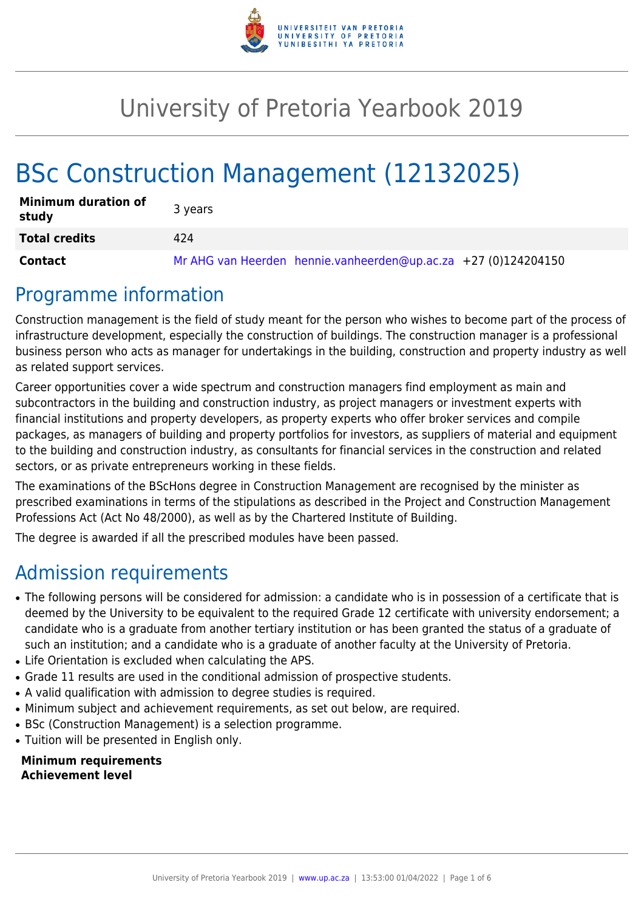

# University of Pretoria Yearbook 2019

# BSc Construction Management (12132025)

| <b>Minimum duration of</b><br>study | 3 years                                                        |
|-------------------------------------|----------------------------------------------------------------|
| <b>Total credits</b>                | 424                                                            |
| Contact                             | Mr AHG van Heerden hennie.vanheerden@up.ac.za +27 (0)124204150 |

## Programme information

Construction management is the field of study meant for the person who wishes to become part of the process of infrastructure development, especially the construction of buildings. The construction manager is a professional business person who acts as manager for undertakings in the building, construction and property industry as well as related support services.

Career opportunities cover a wide spectrum and construction managers find employment as main and subcontractors in the building and construction industry, as project managers or investment experts with financial institutions and property developers, as property experts who offer broker services and compile packages, as managers of building and property portfolios for investors, as suppliers of material and equipment to the building and construction industry, as consultants for financial services in the construction and related sectors, or as private entrepreneurs working in these fields.

The examinations of the BScHons degree in Construction Management are recognised by the minister as prescribed examinations in terms of the stipulations as described in the Project and Construction Management Professions Act (Act No 48/2000), as well as by the Chartered Institute of Building.

The degree is awarded if all the prescribed modules have been passed.

# Admission requirements

- The following persons will be considered for admission: a candidate who is in possession of a certificate that is deemed by the University to be equivalent to the required Grade 12 certificate with university endorsement; a candidate who is a graduate from another tertiary institution or has been granted the status of a graduate of such an institution; and a candidate who is a graduate of another faculty at the University of Pretoria.
- Life Orientation is excluded when calculating the APS.
- Grade 11 results are used in the conditional admission of prospective students.
- A valid qualification with admission to degree studies is required.
- Minimum subject and achievement requirements, as set out below, are required.
- BSc (Construction Management) is a selection programme.
- Tuition will be presented in English only.

**Minimum requirements Achievement level**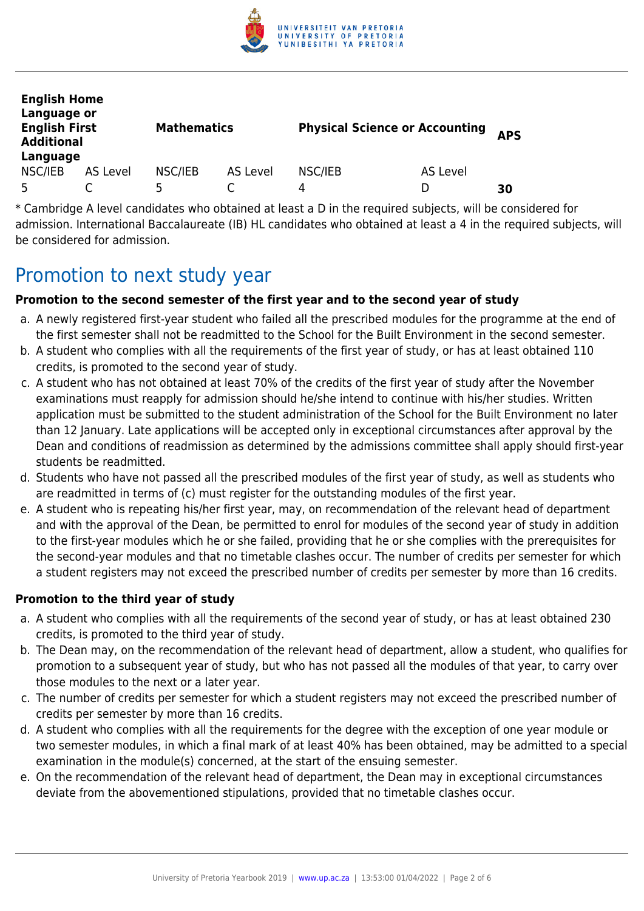

| <b>English Home</b><br>Language or<br><b>English First</b><br><b>Additional</b><br>Language |          | <b>Mathematics</b> |          | <b>Physical Science or Accounting</b> |          | <b>APS</b> |
|---------------------------------------------------------------------------------------------|----------|--------------------|----------|---------------------------------------|----------|------------|
| NSC/IEB                                                                                     | AS Level | NSC/IEB            | AS Level | NSC/IEB                               | AS Level |            |
| 5                                                                                           |          |                    |          | 4                                     | D        | 30         |

\* Cambridge A level candidates who obtained at least a D in the required subjects, will be considered for admission. International Baccalaureate (IB) HL candidates who obtained at least a 4 in the required subjects, will be considered for admission.

## Promotion to next study year

#### **Promotion to the second semester of the first year and to the second year of study**

- a. A newly registered first-year student who failed all the prescribed modules for the programme at the end of the first semester shall not be readmitted to the School for the Built Environment in the second semester.
- b. A student who complies with all the requirements of the first year of study, or has at least obtained 110 credits, is promoted to the second year of study.
- c. A student who has not obtained at least 70% of the credits of the first year of study after the November examinations must reapply for admission should he/she intend to continue with his/her studies. Written application must be submitted to the student administration of the School for the Built Environment no later than 12 January. Late applications will be accepted only in exceptional circumstances after approval by the Dean and conditions of readmission as determined by the admissions committee shall apply should first-year students be readmitted.
- d. Students who have not passed all the prescribed modules of the first year of study, as well as students who are readmitted in terms of (c) must register for the outstanding modules of the first year.
- e. A student who is repeating his/her first year, may, on recommendation of the relevant head of department and with the approval of the Dean, be permitted to enrol for modules of the second year of study in addition to the first-year modules which he or she failed, providing that he or she complies with the prerequisites for the second-year modules and that no timetable clashes occur. The number of credits per semester for which a student registers may not exceed the prescribed number of credits per semester by more than 16 credits.

#### **Promotion to the third year of study**

- a. A student who complies with all the requirements of the second year of study, or has at least obtained 230 credits, is promoted to the third year of study.
- b. The Dean may, on the recommendation of the relevant head of department, allow a student, who qualifies for promotion to a subsequent year of study, but who has not passed all the modules of that year, to carry over those modules to the next or a later year.
- c. The number of credits per semester for which a student registers may not exceed the prescribed number of credits per semester by more than 16 credits.
- d. A student who complies with all the requirements for the degree with the exception of one year module or two semester modules, in which a final mark of at least 40% has been obtained, may be admitted to a special examination in the module(s) concerned, at the start of the ensuing semester.
- e. On the recommendation of the relevant head of department, the Dean may in exceptional circumstances deviate from the abovementioned stipulations, provided that no timetable clashes occur.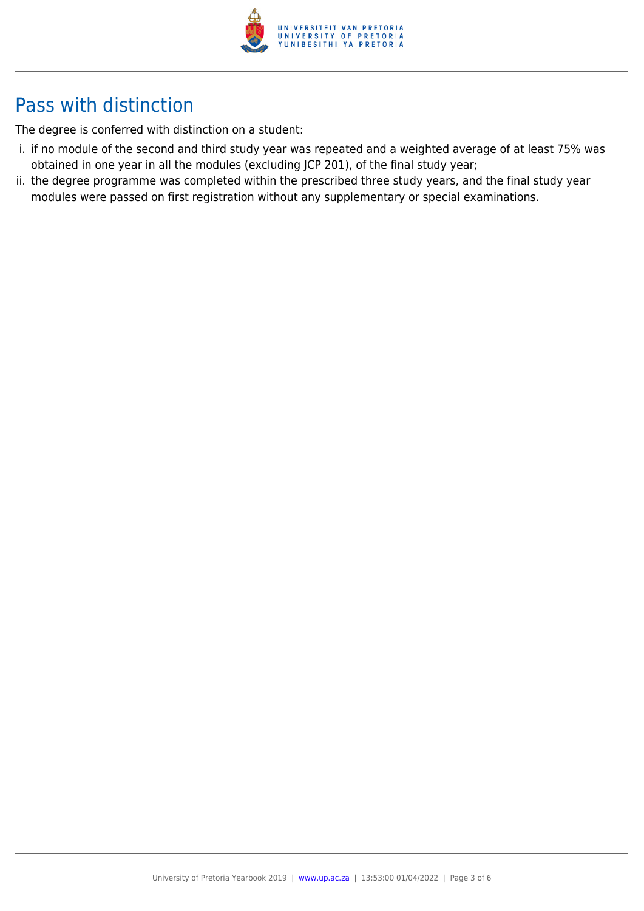

# Pass with distinction

The degree is conferred with distinction on a student:

- i. if no module of the second and third study year was repeated and a weighted average of at least 75% was obtained in one year in all the modules (excluding JCP 201), of the final study year;
- ii. the degree programme was completed within the prescribed three study years, and the final study year modules were passed on first registration without any supplementary or special examinations.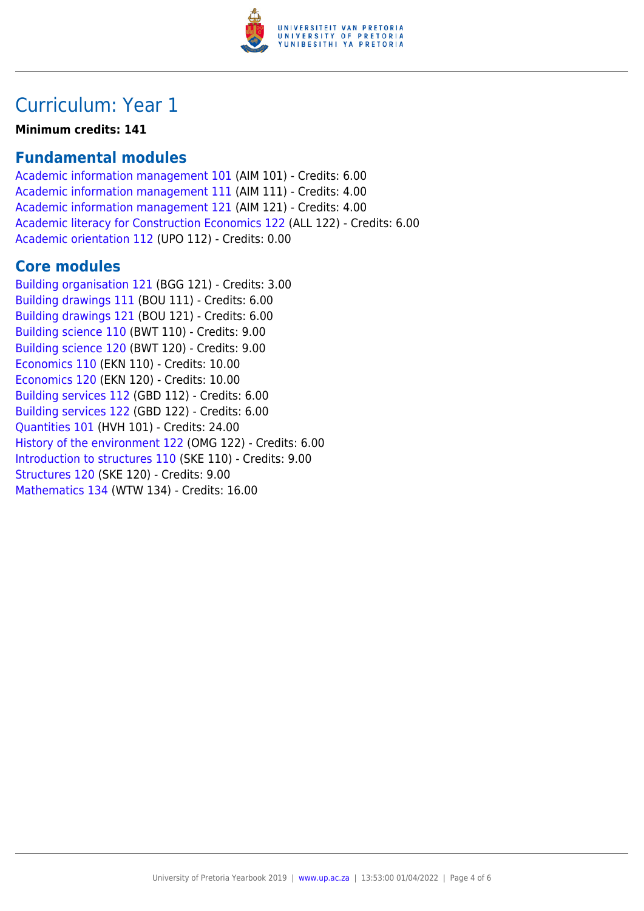

## Curriculum: Year 1

**Minimum credits: 141**

### **Fundamental modules**

[Academic information management 101](https://www.up.ac.za/yearbooks/2019/modules/view/AIM 101) (AIM 101) - Credits: 6.00 [Academic information management 111](https://www.up.ac.za/yearbooks/2019/modules/view/AIM 111) (AIM 111) - Credits: 4.00 [Academic information management 121](https://www.up.ac.za/yearbooks/2019/modules/view/AIM 121) (AIM 121) - Credits: 4.00 [Academic literacy for Construction Economics 122](https://www.up.ac.za/yearbooks/2019/modules/view/ALL 122) (ALL 122) - Credits: 6.00 [Academic orientation 112](https://www.up.ac.za/yearbooks/2019/modules/view/UPO 112) (UPO 112) - Credits: 0.00

### **Core modules**

[Building organisation 121](https://www.up.ac.za/yearbooks/2019/modules/view/BGG 121) (BGG 121) - Credits: 3.00 [Building drawings 111](https://www.up.ac.za/yearbooks/2019/modules/view/BOU 111) (BOU 111) - Credits: 6.00 [Building drawings 121](https://www.up.ac.za/yearbooks/2019/modules/view/BOU 121) (BOU 121) - Credits: 6.00 [Building science 110](https://www.up.ac.za/yearbooks/2019/modules/view/BWT 110) (BWT 110) - Credits: 9.00 [Building science 120](https://www.up.ac.za/yearbooks/2019/modules/view/BWT 120) (BWT 120) - Credits: 9.00 [Economics 110](https://www.up.ac.za/yearbooks/2019/modules/view/EKN 110) (EKN 110) - Credits: 10.00 [Economics 120](https://www.up.ac.za/yearbooks/2019/modules/view/EKN 120) (EKN 120) - Credits: 10.00 [Building services 112](https://www.up.ac.za/yearbooks/2019/modules/view/GBD 112) (GBD 112) - Credits: 6.00 [Building services 122](https://www.up.ac.za/yearbooks/2019/modules/view/GBD 122) (GBD 122) - Credits: 6.00 [Quantities 101](https://www.up.ac.za/yearbooks/2019/modules/view/HVH 101) (HVH 101) - Credits: 24.00 [History of the environment 122](https://www.up.ac.za/yearbooks/2019/modules/view/OMG 122) (OMG 122) - Credits: 6.00 [Introduction to structures 110](https://www.up.ac.za/yearbooks/2019/modules/view/SKE 110) (SKE 110) - Credits: 9.00 [Structures 120](https://www.up.ac.za/yearbooks/2019/modules/view/SKE 120) (SKE 120) - Credits: 9.00 [Mathematics 134](https://www.up.ac.za/yearbooks/2019/modules/view/WTW 134) (WTW 134) - Credits: 16.00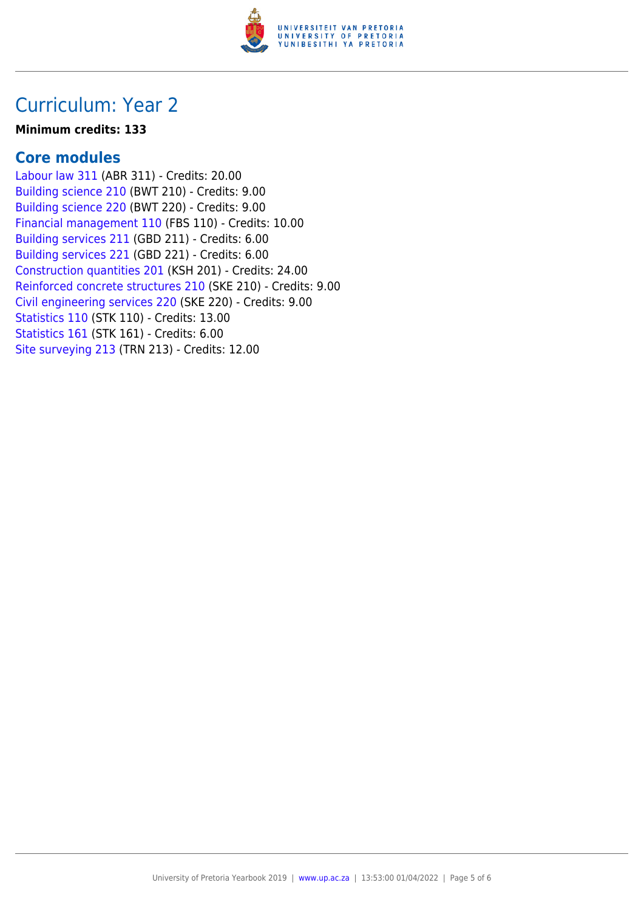

## Curriculum: Year 2

#### **Minimum credits: 133**

### **Core modules**

[Labour law 311](https://www.up.ac.za/yearbooks/2019/modules/view/ABR 311) (ABR 311) - Credits: 20.00 [Building science 210](https://www.up.ac.za/yearbooks/2019/modules/view/BWT 210) (BWT 210) - Credits: 9.00 [Building science 220](https://www.up.ac.za/yearbooks/2019/modules/view/BWT 220) (BWT 220) - Credits: 9.00 [Financial management 110](https://www.up.ac.za/yearbooks/2019/modules/view/FBS 110) (FBS 110) - Credits: 10.00 [Building services 211](https://www.up.ac.za/yearbooks/2019/modules/view/GBD 211) (GBD 211) - Credits: 6.00 [Building services 221](https://www.up.ac.za/yearbooks/2019/modules/view/GBD 221) (GBD 221) - Credits: 6.00 [Construction quantities 201](https://www.up.ac.za/yearbooks/2019/modules/view/KSH 201) (KSH 201) - Credits: 24.00 [Reinforced concrete structures 210](https://www.up.ac.za/yearbooks/2019/modules/view/SKE 210) (SKE 210) - Credits: 9.00 [Civil engineering services 220](https://www.up.ac.za/yearbooks/2019/modules/view/SKE 220) (SKE 220) - Credits: 9.00 [Statistics 110](https://www.up.ac.za/yearbooks/2019/modules/view/STK 110) (STK 110) - Credits: 13.00 [Statistics 161](https://www.up.ac.za/yearbooks/2019/modules/view/STK 161) (STK 161) - Credits: 6.00 [Site surveying 213](https://www.up.ac.za/yearbooks/2019/modules/view/TRN 213) (TRN 213) - Credits: 12.00